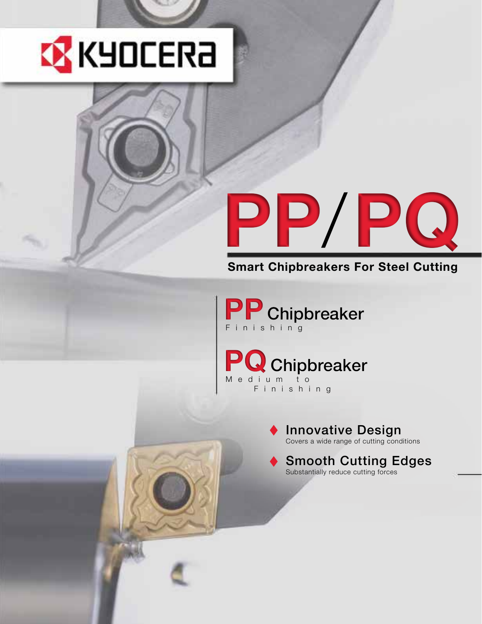

# **PP**/**PQ**

# **Smart Chipbreakers For Steel Cutting**

**PP** Chipbreaker Finishing

**PQ**Chipbreaker M e d i u m t o Finishing

# Innovative Design

Covers a wide range of cutting conditions

# Smooth Cutting Edges Substantially reduce cutting forces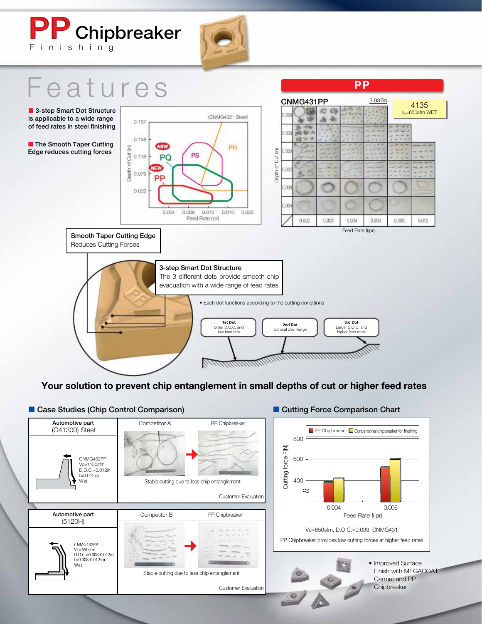# **PP** Chipbreaker Finishing



# eatures

■ 3-step Smart Dot Structure is applicable to a wide range of feed rates in steel finishing

■ The Smooth Taper Cutting Edge reduces cutting forces



|       |           |       | <b>PP</b> |         |                            |       |  |  |  |  |  |
|-------|-----------|-------|-----------|---------|----------------------------|-------|--|--|--|--|--|
|       | CNMG431PP |       |           | 3.937in |                            | 4135  |  |  |  |  |  |
| 0.059 |           |       |           |         | v <sub>c</sub> =650sfm WET |       |  |  |  |  |  |
| 0.039 |           |       |           |         |                            |       |  |  |  |  |  |
| 0.028 |           |       |           |         |                            |       |  |  |  |  |  |
| 0.020 |           |       |           |         |                            |       |  |  |  |  |  |
| 0.008 |           |       |           |         |                            |       |  |  |  |  |  |
| 0.004 |           |       |           |         |                            |       |  |  |  |  |  |
|       | 0.002     | 0.033 | 0.004     | 0.008   | 0.008                      | 0.012 |  |  |  |  |  |

Smooth Taper Cutting Edge Reduces Cutting Forces

3-step Smart Dot Structure



**Your solution to prevent chip entanglement in small depths of cut or higher feed rates**

### ■ Case Studies (Chip Control Comparison) **● Development Cutting Force Comparison Chart** Automotive part Competitor A PP Chipbreaker (G41300) Steel **PP Chipbreaker Conventional chipbreaker for finishing** 800 Cutting force F(N) Cutting force F(N) CNMG432PP 600 Vc=1150sfm D.O.C.=0.012in f=0.012ipr 400 Wet Stable cutting due to less chip entanglement Customer Evaluation 0.004 0.006 Automotive part Competitor B PP Chipbreaker Feed Rate f(ipr) (5120H) Vc=650sfm, D.O.C.=0.039, CNMG431 PP Chipbreaker provides low cutting forces at higher feed rates CNMG432PP Vc=650sfm D.O.C.=0.008-0.012in f=0.008-0.012ipr • Improved Surface **GREE** Wet Finish with MEGACOAT Stable cutting due to less chip entanglement Cermet and PP **Chipbreaker** Customer Evaluation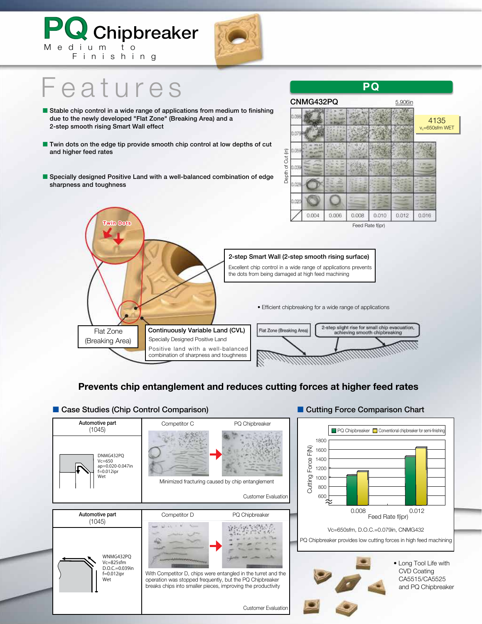

2-step Smart Wall (2-step smooth rising surface) Excellent chip control in a wide range of applications prevents the dots from being damaged at high feed machining • Efficient chipbreaking for a wide range of applications 2-step slight rise for small chip evacuation,<br>achieving smooth chipbreaking Flat Zone Continuously Variable Land (CVL) Flat Zone (Breaking Area) Specially Designed Positive Land (Breaking Area) Positive land with a well-balanced combination of sharpness and toughness

# **Prevents chip entanglement and reduces cutting forces at higher feed rates**

| <b>Case Studies (Chip Control Comparison)</b>                            |                                                                                                                          | Cutting Force Comparison Chart                                          |                                                                                                                                                                   |
|--------------------------------------------------------------------------|--------------------------------------------------------------------------------------------------------------------------|-------------------------------------------------------------------------|-------------------------------------------------------------------------------------------------------------------------------------------------------------------|
| Automotive part<br>(1045)                                                | Competitor C                                                                                                             | PQ Chipbreaker                                                          |                                                                                                                                                                   |
| DNMG432PO<br>$Vc = 650$<br>ap=0.020-0.047in<br>$f=0.012$ ipr<br>Wet      |                                                                                                                          | Minimized fracturing caused by chip entanglement<br>Customer Evaluation | PQ Chipbreaker Conventional chipbreaker for semi-finishing<br>1800<br>$\mathsf{F}(\mathsf{X})$<br>1600<br>Force!<br>1400<br>1200<br>Cutting<br>1000<br>800<br>600 |
| Automotive part<br>(1045)                                                | Competitor D                                                                                                             | PQ Chipbreaker                                                          | 0.008<br>0.012<br>Feed Rate f(ipr)                                                                                                                                |
|                                                                          |                                                                                                                          |                                                                         | Vc=650sfm, D.O.C.=0.079in, CNMG432<br>PQ Chipbreaker provides low cutting forces in high feed machining                                                           |
| WNMG432PO<br>$Vc = 825$ sfm<br>$D.O.C.=0.039$ in<br>$f=0.012$ ipr<br>Wet | operation was stopped frequently, but the PQ Chipbreaker<br>breaks chips into smaller pieces, improving the productivity | With Competitor D, chips were entangled in the turret and the           | • Long Tool Life with<br><b>CVD Coating</b><br>CA5515/CA5525<br>and PQ Chipbreaker                                                                                |
|                                                                          |                                                                                                                          | Customer Evaluation                                                     |                                                                                                                                                                   |